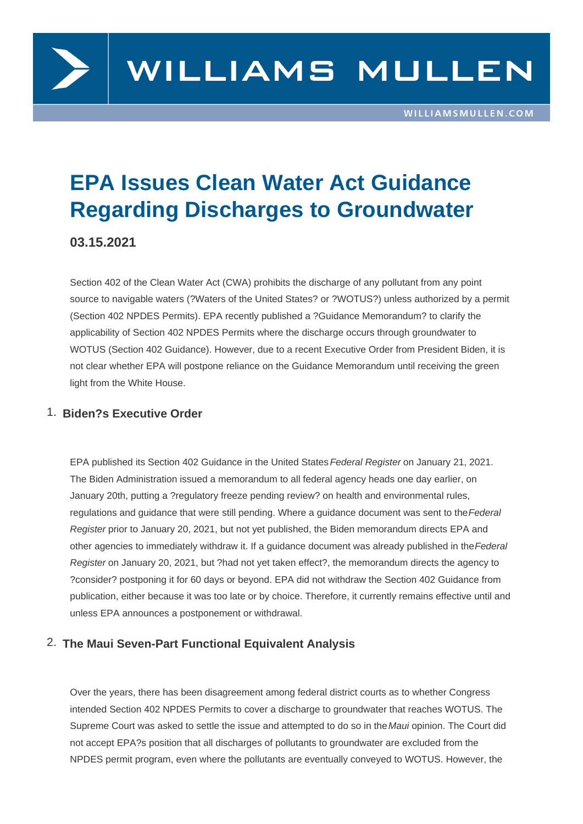

# **EPA Issues Clean Water Act Guidance Regarding Discharges to Groundwater**

# **03.15.2021**

Section 402 of the Clean Water Act (CWA) prohibits the discharge of any pollutant from any point source to navigable waters (?Waters of the United States? or ?WOTUS?) unless authorized by a permit (Section 402 NPDES Permits). EPA recently published a ?Guidance Memorandum? to clarify the applicability of Section 402 NPDES Permits where the discharge occurs through groundwater to WOTUS (Section 402 Guidance). However, due to a recent Executive Order from President Biden, it is not clear whether EPA will postpone reliance on the Guidance Memorandum until receiving the green light from the White House.

## 1. **Biden?s Executive Order**

EPA published its Section 402 Guidance in the United States Federal Register on January 21, 2021. The Biden Administration issued a memorandum to all federal agency heads one day earlier, on January 20th, putting a ?regulatory freeze pending review? on health and environmental rules, regulations and guidance that were still pending. Where a guidance document was sent to the Federal Register prior to January 20, 2021, but not yet published, the Biden memorandum directs EPA and other agencies to immediately withdraw it. If a guidance document was already published in the Federal Register on January 20, 2021, but ?had not yet taken effect?, the memorandum directs the agency to ?consider? postponing it for 60 days or beyond. EPA did not withdraw the Section 402 Guidance from publication, either because it was too late or by choice. Therefore, it currently remains effective until and unless EPA announces a postponement or withdrawal.

# 2. **The Maui Seven-Part Functional Equivalent Analysis**

Over the years, there has been disagreement among federal district courts as to whether Congress intended Section 402 NPDES Permits to cover a discharge to groundwater that reaches WOTUS. The Supreme Court was asked to settle the issue and attempted to do so in the Maui opinion. The Court did not accept EPA?s position that all discharges of pollutants to groundwater are excluded from the NPDES permit program, even where the pollutants are eventually conveyed to WOTUS. However, the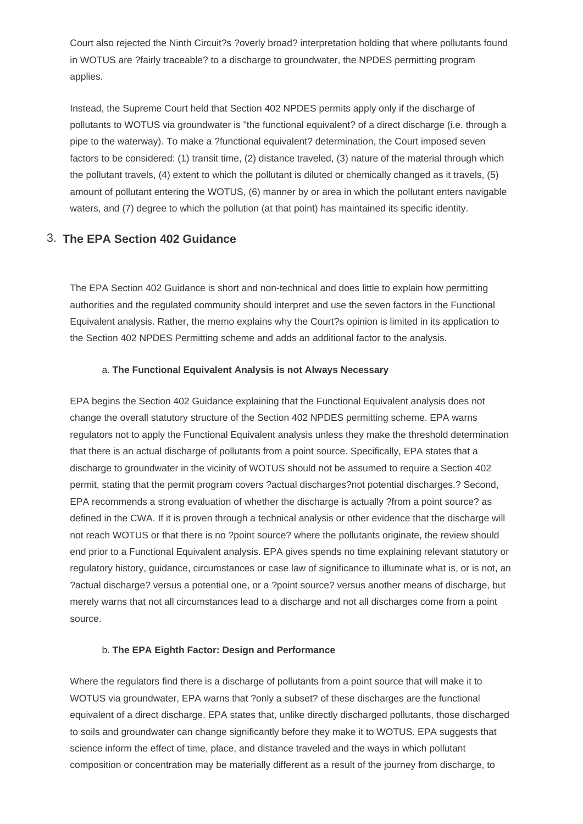Court also rejected the Ninth Circuit?s ?overly broad? interpretation holding that where pollutants found in WOTUS are ?fairly traceable? to a discharge to groundwater, the NPDES permitting program applies.

Instead, the Supreme Court held that Section 402 NPDES permits apply only if the discharge of pollutants to WOTUS via groundwater is "the functional equivalent? of a direct discharge (i.e. through a pipe to the waterway). To make a ?functional equivalent? determination, the Court imposed seven factors to be considered: (1) transit time, (2) distance traveled, (3) nature of the material through which the pollutant travels, (4) extent to which the pollutant is diluted or chemically changed as it travels, (5) amount of pollutant entering the WOTUS, (6) manner by or area in which the pollutant enters navigable waters, and (7) degree to which the pollution (at that point) has maintained its specific identity.

## 3. **The EPA Section 402 Guidance**

The EPA Section 402 Guidance is short and non-technical and does little to explain how permitting authorities and the regulated community should interpret and use the seven factors in the Functional Equivalent analysis. Rather, the memo explains why the Court?s opinion is limited in its application to the Section 402 NPDES Permitting scheme and adds an additional factor to the analysis.

#### a. **The Functional Equivalent Analysis is not Always Necessary**

EPA begins the Section 402 Guidance explaining that the Functional Equivalent analysis does not change the overall statutory structure of the Section 402 NPDES permitting scheme. EPA warns regulators not to apply the Functional Equivalent analysis unless they make the threshold determination that there is an actual discharge of pollutants from a point source. Specifically, EPA states that a discharge to groundwater in the vicinity of WOTUS should not be assumed to require a Section 402 permit, stating that the permit program covers ?actual discharges?not potential discharges.? Second, EPA recommends a strong evaluation of whether the discharge is actually ?from a point source? as defined in the CWA. If it is proven through a technical analysis or other evidence that the discharge will not reach WOTUS or that there is no ?point source? where the pollutants originate, the review should end prior to a Functional Equivalent analysis. EPA gives spends no time explaining relevant statutory or regulatory history, guidance, circumstances or case law of significance to illuminate what is, or is not, an ?actual discharge? versus a potential one, or a ?point source? versus another means of discharge, but merely warns that not all circumstances lead to a discharge and not all discharges come from a point source.

#### b. **The EPA Eighth Factor: Design and Performance**

Where the regulators find there is a discharge of pollutants from a point source that will make it to WOTUS via groundwater, EPA warns that ?only a subset? of these discharges are the functional equivalent of a direct discharge. EPA states that, unlike directly discharged pollutants, those discharged to soils and groundwater can change significantly before they make it to WOTUS. EPA suggests that science inform the effect of time, place, and distance traveled and the ways in which pollutant composition or concentration may be materially different as a result of the journey from discharge, to